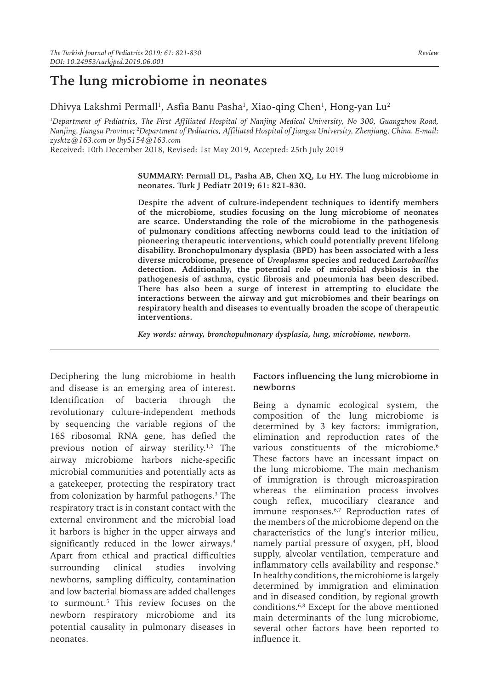# **The lung microbiome in neonates**

Dhivya Lakshmi Permall<sup>ı</sup>, Asfia Banu Pasha', Xiao-qing Chen', Hong-yan Lu<sup>2</sup>

*1 Department of Pediatrics, The First Affiliated Hospital of Nanjing Medical University, No 300, Guangzhou Road, Nanjing, Jiangsu Province; <sup>2</sup> Department of Pediatrics, Affiliated Hospital of Jiangsu University, Zhenjiang, China. E-mail: zysktz@163.com or lhy5154@163.com*

Received: 10th December 2018, Revised: 1st May 2019, Accepted: 25th July 2019

**SUMMARY: Permall DL, Pasha AB, Chen XQ, Lu HY. The lung microbiome in neonates. Turk J Pediatr 2019; 61: 821-830.**

**Despite the advent of culture-independent techniques to identify members of the microbiome, studies focusing on the lung microbiome of neonates are scarce. Understanding the role of the microbiome in the pathogenesis of pulmonary conditions affecting newborns could lead to the initiation of pioneering therapeutic interventions, which could potentially prevent lifelong disability. Bronchopulmonary dysplasia (BPD) has been associated with a less diverse microbiome, presence of** *Ureaplasma* **species and reduced** *Lactobacillus* **detection. Additionally, the potential role of microbial dysbiosis in the pathogenesis of asthma, cystic fibrosis and pneumonia has been described. There has also been a surge of interest in attempting to elucidate the interactions between the airway and gut microbiomes and their bearings on respiratory health and diseases to eventually broaden the scope of therapeutic interventions.**

*Key words: airway, bronchopulmonary dysplasia, lung, microbiome, newborn.*

Deciphering the lung microbiome in health and disease is an emerging area of interest. Identification of bacteria through the revolutionary culture-independent methods by sequencing the variable regions of the 16S ribosomal RNA gene, has defied the previous notion of airway sterility.<sup>1,2</sup> The airway microbiome harbors niche-specific microbial communities and potentially acts as a gatekeeper, protecting the respiratory tract from colonization by harmful pathogens.3 The respiratory tract is in constant contact with the external environment and the microbial load it harbors is higher in the upper airways and significantly reduced in the lower airways.<sup>4</sup> Apart from ethical and practical difficulties surrounding clinical studies involving newborns, sampling difficulty, contamination and low bacterial biomass are added challenges to surmount.5 This review focuses on the newborn respiratory microbiome and its potential causality in pulmonary diseases in neonates.

#### **Factors influencing the lung microbiome in newborns**

Being a dynamic ecological system, the composition of the lung microbiome is determined by 3 key factors: immigration, elimination and reproduction rates of the various constituents of the microbiome.<sup>6</sup> These factors have an incessant impact on the lung microbiome. The main mechanism of immigration is through microaspiration whereas the elimination process involves cough reflex, mucociliary clearance and immune responses.<sup>6,7</sup> Reproduction rates of the members of the microbiome depend on the characteristics of the lung's interior milieu, namely partial pressure of oxygen, pH, blood supply, alveolar ventilation, temperature and inflammatory cells availability and response.<sup>6</sup> In healthy conditions, the microbiome is largely determined by immigration and elimination and in diseased condition, by regional growth conditions.6,8 Except for the above mentioned main determinants of the lung microbiome, several other factors have been reported to influence it.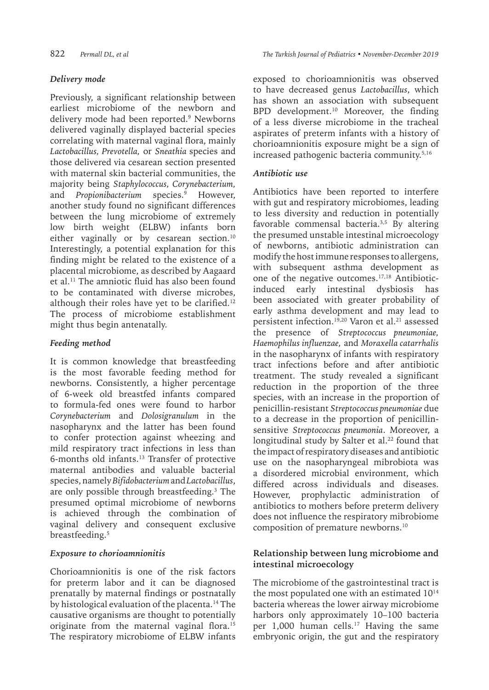# *Delivery mode*

Previously, a significant relationship between earliest microbiome of the newborn and delivery mode had been reported.9 Newborns delivered vaginally displayed bacterial species correlating with maternal vaginal flora, mainly *Lactobacillus, Prevotella,* or *Sneathia* species and those delivered via cesarean section presented with maternal skin bacterial communities, the majority being *Staphylococcus, Corynebacterium,* and *Propionibacterium* species.9 However, another study found no significant differences between the lung microbiome of extremely low birth weight (ELBW) infants born either vaginally or by cesarean section.<sup>10</sup> Interestingly, a potential explanation for this finding might be related to the existence of a placental microbiome, as described by Aagaard et al.11 The amniotic fluid has also been found to be contaminated with diverse microbes, although their roles have yet to be clarified.<sup>12</sup> The process of microbiome establishment might thus begin antenatally.

# *Feeding method*

It is common knowledge that breastfeeding is the most favorable feeding method for newborns. Consistently, a higher percentage of 6-week old breastfed infants compared to formula-fed ones were found to harbor *Corynebacterium* and *Dolosigranulum* in the nasopharynx and the latter has been found to confer protection against wheezing and mild respiratory tract infections in less than 6-months old infants.13 Transfer of protective maternal antibodies and valuable bacterial species, namely *Bifidobacterium* and *Lactobacillus*, are only possible through breastfeeding.3 The presumed optimal microbiome of newborns is achieved through the combination of vaginal delivery and consequent exclusive breastfeeding.<sup>5</sup>

### *Exposure to chorioamnionitis*

Chorioamnionitis is one of the risk factors for preterm labor and it can be diagnosed prenatally by maternal findings or postnatally by histological evaluation of the placenta.<sup>14</sup> The causative organisms are thought to potentially originate from the maternal vaginal flora.<sup>15</sup> The respiratory microbiome of ELBW infants

exposed to chorioamnionitis was observed to have decreased genus *Lactobacillus*, which has shown an association with subsequent BPD development.<sup>10</sup> Moreover, the finding of a less diverse microbiome in the tracheal aspirates of preterm infants with a history of chorioamnionitis exposure might be a sign of increased pathogenic bacteria community.5,16

### *Antibiotic use*

Antibiotics have been reported to interfere with gut and respiratory microbiomes, leading to less diversity and reduction in potentially favorable commensal bacteria.<sup>3,5</sup> By altering the presumed unstable intestinal microecology of newborns, antibiotic administration can modify the host immune responses to allergens, with subsequent asthma development as one of the negative outcomes.17,18 Antibioticinduced early intestinal dysbiosis has been associated with greater probability of early asthma development and may lead to persistent infection.<sup>19,20</sup> Varon et al.<sup>21</sup> assessed the presence of *Streptococcus pneumoniae, Haemophilus influenzae,* and *Moraxella catarrhalis*  in the nasopharynx of infants with respiratory tract infections before and after antibiotic treatment. The study revealed a significant reduction in the proportion of the three species, with an increase in the proportion of penicillin-resistant *Streptococcus pneumoniae* due to a decrease in the proportion of penicillinsensitive *Streptococcus pneumonia*. Moreover, a longitudinal study by Salter et al.<sup>22</sup> found that the impact of respiratory diseases and antibiotic use on the nasopharyngeal mibrobiota was a disordered microbial environment, which differed across individuals and diseases. However, prophylactic administration of antibiotics to mothers before preterm delivery does not influence the respiratory mibrobiome composition of premature newborns.10

# **Relationship between lung microbiome and intestinal microecology**

The microbiome of the gastrointestinal tract is the most populated one with an estimated 1014 bacteria whereas the lower airway microbiome harbors only approximately 10–100 bacteria per 1,000 human cells.<sup>17</sup> Having the same embryonic origin, the gut and the respiratory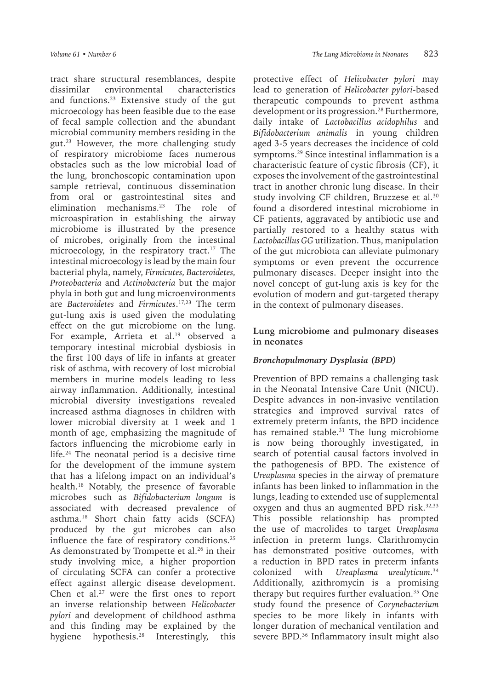tract share structural resemblances, despite dissimilar environmental characteristics and functions.23 Extensive study of the gut microecology has been feasible due to the ease of fecal sample collection and the abundant microbial community members residing in the gut.23 However, the more challenging study of respiratory microbiome faces numerous obstacles such as the low microbial load of the lung, bronchoscopic contamination upon sample retrieval, continuous dissemination from oral or gastrointestinal sites and elimination mechanisms.23 The role of microaspiration in establishing the airway microbiome is illustrated by the presence of microbes, originally from the intestinal microecology, in the respiratory tract.<sup>17</sup> The intestinal microecology is lead by the main four bacterial phyla, namely, *Firmicutes, Bacteroidetes, Proteobacteria* and *Actinobacteria* but the major phyla in both gut and lung microenvironments are *Bacteroidetes* and *Firmicutes*. 17,23 The term gut-lung axis is used given the modulating effect on the gut microbiome on the lung. For example, Arrieta et al.<sup>19</sup> observed a temporary intestinal microbial dysbiosis in the first 100 days of life in infants at greater risk of asthma, with recovery of lost microbial members in murine models leading to less airway inflammation. Additionally, intestinal microbial diversity investigations revealed increased asthma diagnoses in children with lower microbial diversity at 1 week and 1 month of age, emphasizing the magnitude of factors influencing the microbiome early in life.24 The neonatal period is a decisive time for the development of the immune system that has a lifelong impact on an individual's health.<sup>18</sup> Notably, the presence of favorable microbes such as *Bifidobacterium longum* is associated with decreased prevalence of asthma.18 Short chain fatty acids (SCFA) produced by the gut microbes can also influence the fate of respiratory conditions.<sup>25</sup> As demonstrated by Trompette et al.<sup>26</sup> in their study involving mice, a higher proportion of circulating SCFA can confer a protective effect against allergic disease development. Chen et al. $27$  were the first ones to report an inverse relationship between *Helicobacter pylori* and development of childhood asthma and this finding may be explained by the hygiene hypothesis.28 Interestingly, this

protective effect of *Helicobacter pylori* may lead to generation of *Helicobacter pylori*-based therapeutic compounds to prevent asthma development or its progression.<sup>28</sup> Furthermore, daily intake of *Lactobacillus acidophilus* and *Bifidobacterium animalis* in young children aged 3-5 years decreases the incidence of cold symptoms.29 Since intestinal inflammation is a characteristic feature of cystic fibrosis (CF), it exposes the involvement of the gastrointestinal tract in another chronic lung disease. In their study involving CF children, Bruzzese et al.30 found a disordered intestinal microbiome in CF patients, aggravated by antibiotic use and partially restored to a healthy status with *Lactobacillus GG* utilization. Thus, manipulation of the gut microbiota can alleviate pulmonary symptoms or even prevent the occurrence pulmonary diseases. Deeper insight into the novel concept of gut-lung axis is key for the evolution of modern and gut-targeted therapy in the context of pulmonary diseases.

### **Lung microbiome and pulmonary diseases in neonates**

# *Bronchopulmonary Dysplasia (BPD)*

Prevention of BPD remains a challenging task in the Neonatal Intensive Care Unit (NICU). Despite advances in non-invasive ventilation strategies and improved survival rates of extremely preterm infants, the BPD incidence has remained stable.<sup>31</sup> The lung microbiome is now being thoroughly investigated, in search of potential causal factors involved in the pathogenesis of BPD. The existence of *Ureaplasma* species in the airway of premature infants has been linked to inflammation in the lungs, leading to extended use of supplemental oxygen and thus an augmented BPD risk.32,33 This possible relationship has prompted the use of macrolides to target *Ureaplasma* infection in preterm lungs. Clarithromycin has demonstrated positive outcomes, with a reduction in BPD rates in preterm infants colonized with *Ureaplasma urealyticum*. 34 Additionally, azithromycin is a promising therapy but requires further evaluation.<sup>35</sup> One study found the presence of *Corynebacterium* species to be more likely in infants with longer duration of mechanical ventilation and severe BPD.<sup>36</sup> Inflammatory insult might also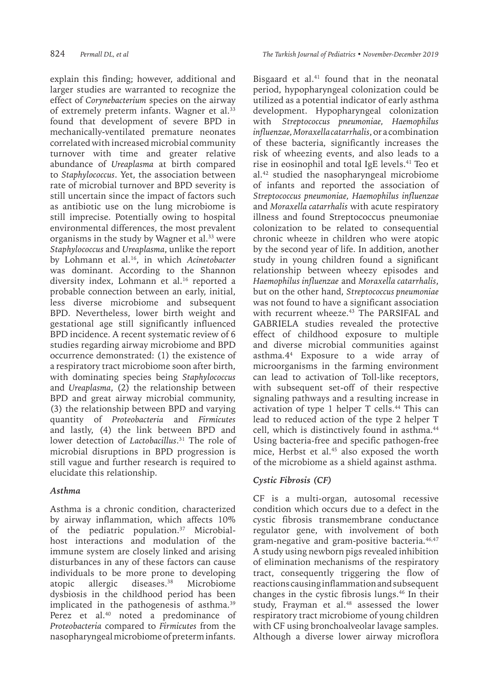explain this finding; however, additional and larger studies are warranted to recognize the effect of *Corynebacterium* species on the airway of extremely preterm infants. Wagner et al.<sup>33</sup> found that development of severe BPD in mechanically-ventilated premature neonates correlated with increased microbial community turnover with time and greater relative abundance of *Ureaplasma* at birth compared to *Staphylococcus*. Yet, the association between rate of microbial turnover and BPD severity is still uncertain since the impact of factors such as antibiotic use on the lung microbiome is still imprecise. Potentially owing to hospital environmental differences, the most prevalent organisms in the study by Wagner et al.<sup>33</sup> were *Staphylococcus* and *Ureaplasma*, unlike the report by Lohmann et al.16, in which *Acinetobacter* was dominant. According to the Shannon diversity index, Lohmann et al.<sup>16</sup> reported a probable connection between an early, initial, less diverse microbiome and subsequent BPD. Nevertheless, lower birth weight and gestational age still significantly influenced BPD incidence. A recent systematic review of 6 studies regarding airway microbiome and BPD occurrence demonstrated: (1) the existence of a respiratory tract microbiome soon after birth, with dominating species being *Staphylococcus* and *Ureaplasma*, (2) the relationship between BPD and great airway microbial community, (3) the relationship between BPD and varying quantity of *Proteobacteria* and *Firmicutes* and lastly, (4) the link between BPD and lower detection of *Lactobacillus*. 31 The role of microbial disruptions in BPD progression is still vague and further research is required to elucidate this relationship.

### *Asthma*

Asthma is a chronic condition, characterized by airway inflammation, which affects 10% of the pediatric population.<sup>37</sup> Microbialhost interactions and modulation of the immune system are closely linked and arising disturbances in any of these factors can cause individuals to be more prone to developing atopic allergic diseases.38 Microbiome dysbiosis in the childhood period has been implicated in the pathogenesis of asthma.<sup>39</sup> Perez et al.<sup>40</sup> noted a predominance of *Proteobacteria* compared to *Firmicutes* from the nasopharyngeal microbiome of preterm infants.

Bisgaard et al.<sup>41</sup> found that in the neonatal period, hypopharyngeal colonization could be utilized as a potential indicator of early asthma development. Hypopharyngeal colonization with *Streptococcus pneumoniae, Haemophilus influenzae, Moraxella catarrhalis*, or a combination of these bacteria, significantly increases the risk of wheezing events, and also leads to a rise in eosinophil and total IgE levels.41 Teo et al.42 studied the nasopharyngeal microbiome of infants and reported the association of *Streptococcus pneumoniae, Haemophilus influenzae* and *Moraxella catarrhalis* with acute respiratory illness and found Streptococcus pneumoniae colonization to be related to consequential chronic wheeze in children who were atopic by the second year of life. In addition, another study in young children found a significant relationship between wheezy episodes and *Haemophilus influenzae* and *Moraxella catarrhalis*, but on the other hand, *Streptococcus pneumoniae* was not found to have a significant association with recurrent wheeze.<sup>43</sup> The PARSIFAL and GABRIELA studies revealed the protective effect of childhood exposure to multiple and diverse microbial communities against asthma.44 Exposure to a wide array of microorganisms in the farming environment can lead to activation of Toll-like receptors, with subsequent set-off of their respective signaling pathways and a resulting increase in activation of type 1 helper  $T$  cells.<sup>44</sup> This can lead to reduced action of the type 2 helper T cell, which is distinctively found in asthma.<sup>44</sup> Using bacteria-free and specific pathogen-free mice, Herbst et al.<sup>45</sup> also exposed the worth of the microbiome as a shield against asthma.

# *Cystic Fibrosis (CF)*

CF is a multi-organ, autosomal recessive condition which occurs due to a defect in the cystic fibrosis transmembrane conductance regulator gene, with involvement of both gram-negative and gram-positive bacteria.46,47 A study using newborn pigs revealed inhibition of elimination mechanisms of the respiratory tract, consequently triggering the flow of reactions causing inflammation and subsequent changes in the cystic fibrosis lungs.46 In their study, Frayman et al.<sup>48</sup> assessed the lower respiratory tract microbiome of young children with CF using bronchoalveolar lavage samples. Although a diverse lower airway microflora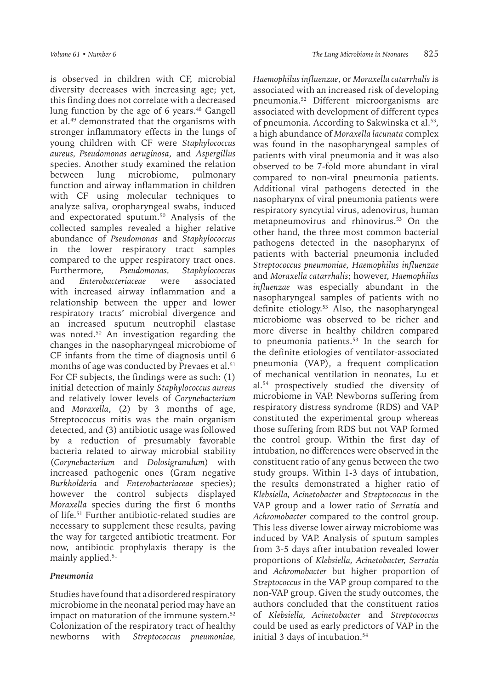is observed in children with CF, microbial diversity decreases with increasing age; yet, this finding does not correlate with a decreased lung function by the age of 6 years.<sup>48</sup> Gangell et al.49 demonstrated that the organisms with stronger inflammatory effects in the lungs of young children with CF were *Staphylococcus aureus, Pseudomonas aeruginosa*, and *Aspergillus*  species. Another study examined the relation between lung microbiome, pulmonary function and airway inflammation in children with CF using molecular techniques to analyze saliva, oropharyngeal swabs, induced and expectorated sputum.<sup>50</sup> Analysis of the collected samples revealed a higher relative abundance of *Pseudomonas* and *Staphylococcus*  in the lower respiratory tract samples compared to the upper respiratory tract ones. Furthermore, *Pseudomonas, Staphylococcus* and *Enterobacteriaceae* were associated with increased airway inflammation and a relationship between the upper and lower respiratory tracts' microbial divergence and an increased sputum neutrophil elastase was noted.<sup>50</sup> An investigation regarding the changes in the nasopharyngeal microbiome of CF infants from the time of diagnosis until 6 months of age was conducted by Prevaes et al.<sup>51</sup> For CF subjects, the findings were as such: (1) initial detection of mainly *Staphylococcus aureus* and relatively lower levels of *Corynebacterium* and *Moraxella*, (2) by 3 months of age, Streptococcus mitis was the main organism detected, and (3) antibiotic usage was followed by a reduction of presumably favorable bacteria related to airway microbial stability (*Corynebacterium* and *Dolosigranulum*) with increased pathogenic ones (Gram negative *Burkholderia* and *Enterobacteriaceae* species); however the control subjects displayed *Moraxella* species during the first 6 months of life.51 Further antibiotic-related studies are necessary to supplement these results, paving the way for targeted antibiotic treatment. For now, antibiotic prophylaxis therapy is the mainly applied.<sup>51</sup>

#### *Pneumonia*

Studies have found that a disordered respiratory microbiome in the neonatal period may have an impact on maturation of the immune system.<sup>52</sup> Colonization of the respiratory tract of healthy newborns with *Streptococcus pneumoniae,* 

*Haemophilus influenzae*, or *Moraxella catarrhalis* is associated with an increased risk of developing pneumonia.52 Different microorganisms are associated with development of different types of pneumonia. According to Sakwinska et al.<sup>53</sup>, a high abundance of *Moraxella lacunata* complex was found in the nasopharyngeal samples of patients with viral pneumonia and it was also observed to be 7-fold more abundant in viral compared to non-viral pneumonia patients. Additional viral pathogens detected in the nasopharynx of viral pneumonia patients were respiratory syncytial virus, adenovirus, human metapneumovirus and rhinovirus.53 On the other hand, the three most common bacterial pathogens detected in the nasopharynx of patients with bacterial pneumonia included *Streptococcus pneumoniae, Haemophilus influenzae* and *Moraxella catarrhalis*; however, *Haemophilus influenzae* was especially abundant in the nasopharyngeal samples of patients with no definite etiology.53 Also, the nasopharyngeal microbiome was observed to be richer and more diverse in healthy children compared to pneumonia patients.<sup>53</sup> In the search for the definite etiologies of ventilator-associated pneumonia (VAP), a frequent complication of mechanical ventilation in neonates, Lu et al.54 prospectively studied the diversity of microbiome in VAP. Newborns suffering from respiratory distress syndrome (RDS) and VAP constituted the experimental group whereas those suffering from RDS but not VAP formed the control group. Within the first day of intubation, no differences were observed in the constituent ratio of any genus between the two study groups. Within 1-3 days of intubation, the results demonstrated a higher ratio of *Klebsiella, Acinetobacter* and *Streptococcus* in the VAP group and a lower ratio of *Serratia* and *Achromobacter* compared to the control group. This less diverse lower airway microbiome was induced by VAP. Analysis of sputum samples from 3-5 days after intubation revealed lower proportions of *Klebsiella, Acinetobacter, Serratia* and *Achromobacter* but higher proportion of *Streptococcus* in the VAP group compared to the non-VAP group. Given the study outcomes, the authors concluded that the constituent ratios of *Klebsiella, Acinetobacter* and *Streptococcus* could be used as early predictors of VAP in the initial 3 days of intubation.<sup>54</sup>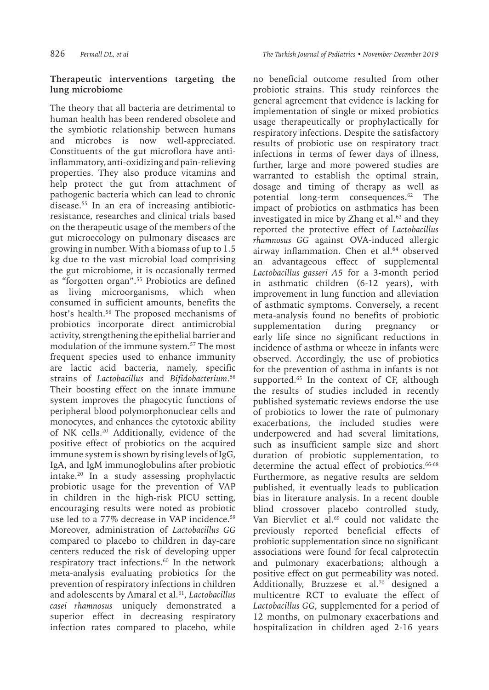#### **Therapeutic interventions targeting the lung microbiome**

The theory that all bacteria are detrimental to human health has been rendered obsolete and the symbiotic relationship between humans and microbes is now well-appreciated. Constituents of the gut microflora have antiinflammatory, anti-oxidizing and pain-relieving properties. They also produce vitamins and help protect the gut from attachment of pathogenic bacteria which can lead to chronic disease.55 In an era of increasing antibioticresistance, researches and clinical trials based on the therapeutic usage of the members of the gut microecology on pulmonary diseases are growing in number. With a biomass of up to 1.5 kg due to the vast microbial load comprising the gut microbiome, it is occasionally termed as "forgotten organ".55 Probiotics are defined as living microorganisms, which when consumed in sufficient amounts, benefits the host's health.<sup>56</sup> The proposed mechanisms of probiotics incorporate direct antimicrobial activity, strengthening the epithelial barrier and modulation of the immune system.<sup>57</sup> The most frequent species used to enhance immunity are lactic acid bacteria, namely, specific strains of *Lactobacillus* and *Bifidobacterium*. 58 Their boosting effect on the innate immune system improves the phagocytic functions of peripheral blood polymorphonuclear cells and monocytes, and enhances the cytotoxic ability of NK cells.<sup>20</sup> Additionally, evidence of the positive effect of probiotics on the acquired immune system is shown by rising levels of IgG, IgA, and IgM immunoglobulins after probiotic intake.20 In a study assessing prophylactic probiotic usage for the prevention of VAP in children in the high-risk PICU setting, encouraging results were noted as probiotic use led to a 77% decrease in VAP incidence.<sup>59</sup> Moreover, administration of *Lactobacillus GG* compared to placebo to children in day-care centers reduced the risk of developing upper respiratory tract infections.<sup>60</sup> In the network meta-analysis evaluating probiotics for the prevention of respiratory infections in children and adolescents by Amaral et al.<sup>61</sup>, *Lactobacillus casei rhamnosus* uniquely demonstrated a superior effect in decreasing respiratory infection rates compared to placebo, while

no beneficial outcome resulted from other probiotic strains. This study reinforces the general agreement that evidence is lacking for implementation of single or mixed probiotics usage therapeutically or prophylactically for respiratory infections. Despite the satisfactory results of probiotic use on respiratory tract infections in terms of fewer days of illness, further, large and more powered studies are warranted to establish the optimal strain, dosage and timing of therapy as well as potential long-term consequences.62 The impact of probiotics on asthmatics has been investigated in mice by Zhang et al. $63$  and they reported the protective effect of *Lactobacillus rhamnosus GG* against OVA-induced allergic airway inflammation. Chen et al.<sup>64</sup> observed an advantageous effect of supplemental *Lactobacillus gasseri A5* for a 3-month period in asthmatic children (6-12 years), with improvement in lung function and alleviation of asthmatic symptoms. Conversely, a recent meta-analysis found no benefits of probiotic supplementation during pregnancy or early life since no significant reductions in incidence of asthma or wheeze in infants were observed. Accordingly, the use of probiotics for the prevention of asthma in infants is not supported.<sup>65</sup> In the context of CF, although the results of studies included in recently published systematic reviews endorse the use of probiotics to lower the rate of pulmonary exacerbations, the included studies were underpowered and had several limitations, such as insufficient sample size and short duration of probiotic supplementation, to determine the actual effect of probiotics.<sup>66-68</sup> Furthermore, as negative results are seldom published, it eventually leads to publication bias in literature analysis. In a recent double blind crossover placebo controlled study, Van Biervliet et al.<sup>69</sup> could not validate the previously reported beneficial effects of probiotic supplementation since no significant associations were found for fecal calprotectin and pulmonary exacerbations; although a positive effect on gut permeability was noted. Additionally, Bruzzese et al.<sup>70</sup> designed a multicentre RCT to evaluate the effect of *Lactobacillus GG*, supplemented for a period of 12 months, on pulmonary exacerbations and hospitalization in children aged 2-16 years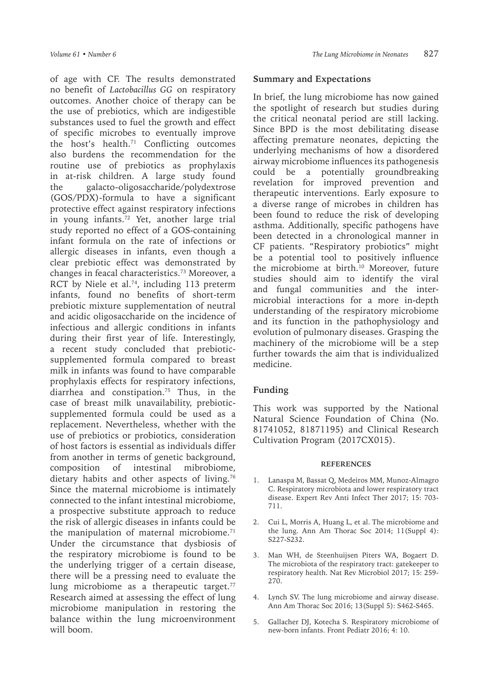of age with CF. The results demonstrated no benefit of *Lactobacillus GG* on respiratory outcomes. Another choice of therapy can be the use of prebiotics, which are indigestible substances used to fuel the growth and effect of specific microbes to eventually improve the host's health. $71$  Conflicting outcomes also burdens the recommendation for the routine use of prebiotics as prophylaxis in at-risk children. A large study found the galacto-oligosaccharide/polydextrose (GOS/PDX)-formula to have a significant protective effect against respiratory infections in young infants.72 Yet, another large trial study reported no effect of a GOS-containing infant formula on the rate of infections or allergic diseases in infants, even though a clear prebiotic effect was demonstrated by changes in feacal characteristics.73 Moreover, a RCT by Niele et al.<sup>74</sup>, including 113 preterm infants, found no benefits of short-term prebiotic mixture supplementation of neutral and acidic oligosaccharide on the incidence of infectious and allergic conditions in infants during their first year of life. Interestingly, a recent study concluded that prebioticsupplemented formula compared to breast milk in infants was found to have comparable prophylaxis effects for respiratory infections, diarrhea and constipation.75 Thus, in the case of breast milk unavailability, prebioticsupplemented formula could be used as a replacement. Nevertheless, whether with the use of prebiotics or probiotics, consideration of host factors is essential as individuals differ from another in terms of genetic background, composition of intestinal mibrobiome, dietary habits and other aspects of living.<sup>76</sup> Since the maternal microbiome is intimately connected to the infant intestinal microbiome, a prospective substitute approach to reduce the risk of allergic diseases in infants could be the manipulation of maternal microbiome.<sup>71</sup> Under the circumstance that dysbiosis of the respiratory microbiome is found to be the underlying trigger of a certain disease, there will be a pressing need to evaluate the lung microbiome as a therapeutic target. $77$ Research aimed at assessing the effect of lung microbiome manipulation in restoring the balance within the lung microenvironment will boom.

#### **Summary and Expectations**

In brief, the lung microbiome has now gained the spotlight of research but studies during the critical neonatal period are still lacking. Since BPD is the most debilitating disease affecting premature neonates, depicting the underlying mechanisms of how a disordered airway microbiome influences its pathogenesis could be a potentially groundbreaking revelation for improved prevention and therapeutic interventions. Early exposure to a diverse range of microbes in children has been found to reduce the risk of developing asthma. Additionally, specific pathogens have been detected in a chronological manner in CF patients. "Respiratory probiotics" might be a potential tool to positively influence the microbiome at birth.<sup>10</sup> Moreover, future studies should aim to identify the viral and fungal communities and the intermicrobial interactions for a more in-depth understanding of the respiratory microbiome and its function in the pathophysiology and evolution of pulmonary diseases. Grasping the machinery of the microbiome will be a step further towards the aim that is individualized medicine.

#### **Funding**

This work was supported by the National Natural Science Foundation of China (No. 81741052, 81871195) and Clinical Research Cultivation Program (2017CX015).

#### **REFERENCES**

- 1. Lanaspa M, Bassat Q, Medeiros MM, Munoz-Almagro C. Respiratory microbiota and lower respiratory tract disease. Expert Rev Anti Infect Ther 2017; 15: 703- 711.
- 2. Cui L, Morris A, Huang L, et al. The microbiome and the lung. Ann Am Thorac Soc 2014; 11(Suppl 4): S227-S232.
- 3. Man WH, de Steenhuijsen Piters WA, Bogaert D. The microbiota of the respiratory tract: gatekeeper to respiratory health. Nat Rev Microbiol 2017; 15: 259- 270.
- 4. Lynch SV. The lung microbiome and airway disease. Ann Am Thorac Soc 2016; 13(Suppl 5): S462-S465.
- 5. Gallacher DJ, Kotecha S. Respiratory microbiome of new-born infants. Front Pediatr 2016; 4: 10.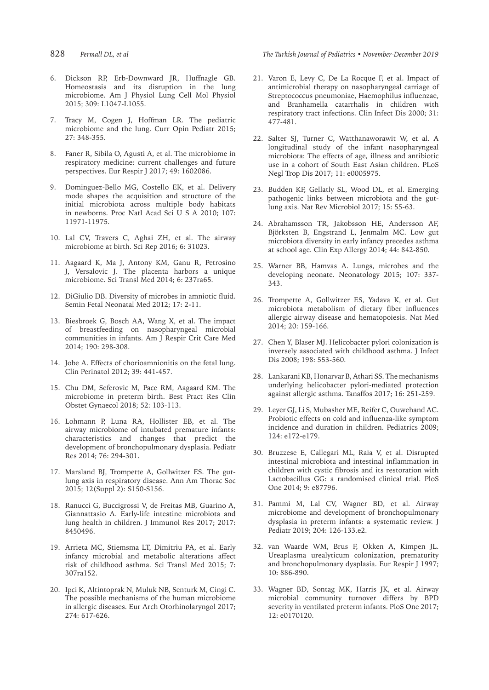- 
- 6. Dickson RP, Erb-Downward JR, Huffnagle GB. Homeostasis and its disruption in the lung microbiome. Am J Physiol Lung Cell Mol Physiol 2015; 309: L1047-L1055.
- 7. Tracy M, Cogen J, Hoffman LR. The pediatric microbiome and the lung. Curr Opin Pediatr 2015; 27: 348-355.
- 8. Faner R, Sibila O, Agusti A, et al. The microbiome in respiratory medicine: current challenges and future perspectives. Eur Respir J 2017; 49: 1602086.
- 9. Dominguez-Bello MG, Costello EK, et al. Delivery mode shapes the acquisition and structure of the initial microbiota across multiple body habitats in newborns. Proc Natl Acad Sci U S A 2010; 107: 11971-11975.
- 10. Lal CV, Travers C, Aghai ZH, et al. The airway microbiome at birth. Sci Rep 2016; 6: 31023.
- 11. Aagaard K, Ma J, Antony KM, Ganu R, Petrosino J, Versalovic J. The placenta harbors a unique microbiome. Sci Transl Med 2014; 6: 237ra65.
- 12. DiGiulio DB. Diversity of microbes in amniotic fluid. Semin Fetal Neonatal Med 2012; 17: 2-11.
- 13. Biesbroek G, Bosch AA, Wang X, et al. The impact of breastfeeding on nasopharyngeal microbial communities in infants. Am J Respir Crit Care Med 2014; 190: 298-308.
- 14. Jobe A. Effects of chorioamnionitis on the fetal lung. Clin Perinatol 2012; 39: 441-457.
- 15. Chu DM, Seferovic M, Pace RM, Aagaard KM. The microbiome in preterm birth. Best Pract Res Clin Obstet Gynaecol 2018; 52: 103-113.
- 16. Lohmann P, Luna RA, Hollister EB, et al. The airway microbiome of intubated premature infants: characteristics and changes that predict the development of bronchopulmonary dysplasia. Pediatr Res 2014; 76: 294-301.
- 17. Marsland BJ, Trompette A, Gollwitzer ES. The gutlung axis in respiratory disease. Ann Am Thorac Soc 2015; 12(Suppl 2): S150-S156.
- 18. Ranucci G, Buccigrossi V, de Freitas MB, Guarino A, Giannattasio A. Early-life intestine microbiota and lung health in children. J Immunol Res 2017; 2017: 8450496.
- 19. Arrieta MC, Stiemsma LT, Dimitriu PA, et al. Early infancy microbial and metabolic alterations affect risk of childhood asthma. Sci Transl Med 2015; 7: 307ra152.
- 20. Ipci K, Altintoprak N, Muluk NB, Senturk M, Cingi C. The possible mechanisms of the human microbiome in allergic diseases. Eur Arch Otorhinolaryngol 2017; 274: 617-626.

#### 828 *Permall DL, et al The Turkish Journal of Pediatrics • November-December 2019*

- 21. Varon E, Levy C, De La Rocque F, et al. Impact of antimicrobial therapy on nasopharyngeal carriage of Streptococcus pneumoniae, Haemophilus influenzae, and Branhamella catarrhalis in children with respiratory tract infections. Clin Infect Dis 2000; 31: 477-481.
- 22. Salter SJ, Turner C, Watthanaworawit W, et al. A longitudinal study of the infant nasopharyngeal microbiota: The effects of age, illness and antibiotic use in a cohort of South East Asian children. PLoS Negl Trop Dis 2017; 11: e0005975.
- 23. Budden KF, Gellatly SL, Wood DL, et al. Emerging pathogenic links between microbiota and the gutlung axis. Nat Rev Microbiol 2017; 15: 55-63.
- 24. Abrahamsson TR, Jakobsson HE, Andersson AF, Björksten B, Engstrand L, Jenmalm MC. Low gut microbiota diversity in early infancy precedes asthma at school age. Clin Exp Allergy 2014; 44: 842-850.
- 25. Warner BB, Hamvas A. Lungs, microbes and the developing neonate. Neonatology 2015; 107: 337- 343.
- 26. Trompette A, Gollwitzer ES, Yadava K, et al. Gut microbiota metabolism of dietary fiber influences allergic airway disease and hematopoiesis. Nat Med 2014; 20: 159-166.
- 27. Chen Y, Blaser MJ. Helicobacter pylori colonization is inversely associated with childhood asthma. J Infect Dis 2008; 198: 553-560.
- 28. Lankarani KB, Honarvar B, Athari SS. The mechanisms underlying helicobacter pylori-mediated protection against allergic asthma. Tanaffos 2017; 16: 251-259.
- 29. Leyer GJ, Li S, Mubasher ME, Reifer C, Ouwehand AC. Probiotic effects on cold and influenza-like symptom incidence and duration in children. Pediatrics 2009; 124: e172-e179.
- 30. Bruzzese E, Callegari ML, Raia V, et al. Disrupted intestinal microbiota and intestinal inflammation in children with cystic fibrosis and its restoration with Lactobacillus GG: a randomised clinical trial. PloS One 2014; 9: e87796.
- 31. Pammi M, Lal CV, Wagner BD, et al. Airway microbiome and development of bronchopulmonary dysplasia in preterm infants: a systematic review. J Pediatr 2019; 204: 126-133.e2.
- 32. van Waarde WM, Brus F, Okken A, Kimpen JL. Ureaplasma urealyticum colonization, prematurity and bronchopulmonary dysplasia. Eur Respir J 1997; 10: 886-890.
- 33. Wagner BD, Sontag MK, Harris JK, et al. Airway microbial community turnover differs by BPD severity in ventilated preterm infants. PloS One 2017; 12: e0170120.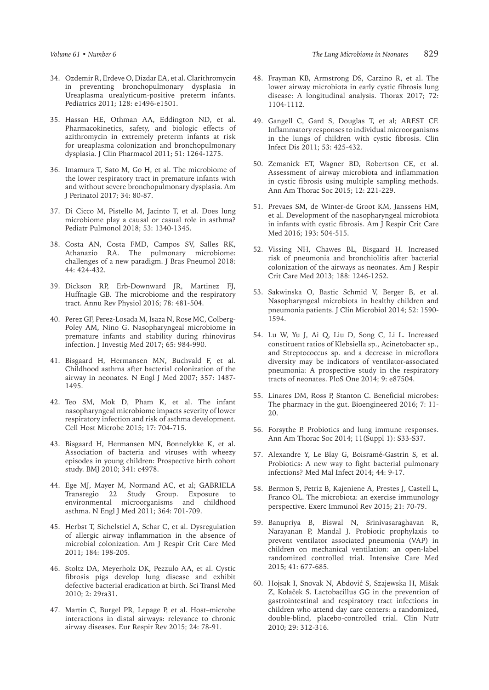- 34. Ozdemir R, Erdeve O, Dizdar EA, et al. Clarithromycin in preventing bronchopulmonary dysplasia in Ureaplasma urealyticum-positive preterm infants. Pediatrics 2011; 128: e1496-e1501.
- 35. Hassan HE, Othman AA, Eddington ND, et al. Pharmacokinetics, safety, and biologic effects of azithromycin in extremely preterm infants at risk for ureaplasma colonization and bronchopulmonary dysplasia. J Clin Pharmacol 2011; 51: 1264-1275.
- 36. Imamura T, Sato M, Go H, et al. The microbiome of the lower respiratory tract in premature infants with and without severe bronchopulmonary dysplasia. Am J Perinatol 2017; 34: 80-87.
- 37. Di Cicco M, Pistello M, Jacinto T, et al. Does lung microbiome play a causal or casual role in asthma? Pediatr Pulmonol 2018; 53: 1340-1345.
- 38. Costa AN, Costa FMD, Campos SV, Salles RK, Athanazio RA. The pulmonary microbiome: challenges of a new paradigm. J Bras Pneumol 2018: 44: 424-432.
- 39. Dickson RP, Erb-Downward JR, Martinez FJ, Huffnagle GB. The microbiome and the respiratory tract. Annu Rev Physiol 2016; 78: 481-504.
- 40. Perez GF, Perez-Losada M, Isaza N, Rose MC, Colberg-Poley AM, Nino G. Nasopharyngeal microbiome in premature infants and stability during rhinovirus infection. J Investig Med 2017; 65: 984-990.
- 41. Bisgaard H, Hermansen MN, Buchvald F, et al. Childhood asthma after bacterial colonization of the airway in neonates. N Engl J Med 2007; 357: 1487- 1495.
- 42. Teo SM, Mok D, Pham K, et al. The infant nasopharyngeal microbiome impacts severity of lower respiratory infection and risk of asthma development. Cell Host Microbe 2015; 17: 704-715.
- 43. Bisgaard H, Hermansen MN, Bonnelykke K, et al. Association of bacteria and viruses with wheezy episodes in young children: Prospective birth cohort study. BMJ 2010; 341: c4978.
- 44. Ege MJ, Mayer M, Normand AC, et al; GABRIELA Transregio 22 Study Group. Exposure to environmental microorganisms and childhood asthma. N Engl J Med 2011; 364: 701-709.
- 45. Herbst T, Sichelstiel A, Schar C, et al. Dysregulation of allergic airway inflammation in the absence of microbial colonization. Am J Respir Crit Care Med 2011; 184: 198-205.
- 46. Stoltz DA, Meyerholz DK, Pezzulo AA, et al. Cystic fibrosis pigs develop lung disease and exhibit defective bacterial eradication at birth. Sci Transl Med 2010; 2: 29ra31.
- 47. Martin C, Burgel PR, Lepage P, et al. Host–microbe interactions in distal airways: relevance to chronic airway diseases. Eur Respir Rev 2015; 24: 78-91.
- 48. Frayman KB, Armstrong DS, Carzino R, et al. The lower airway microbiota in early cystic fibrosis lung disease: A longitudinal analysis. Thorax 2017; 72: 1104-1112.
- 49. Gangell C, Gard S, Douglas T, et al; AREST CF. Inflammatory responses to individual microorganisms in the lungs of children with cystic fibrosis. Clin Infect Dis 2011; 53: 425-432.
- 50. Zemanick ET, Wagner BD, Robertson CE, et al. Assessment of airway microbiota and inflammation in cystic fibrosis using multiple sampling methods. Ann Am Thorac Soc 2015; 12: 221-229.
- 51. Prevaes SM, de Winter-de Groot KM, Janssens HM, et al. Development of the nasopharyngeal microbiota in infants with cystic fibrosis. Am J Respir Crit Care Med 2016; 193: 504-515.
- 52. Vissing NH, Chawes BL, Bisgaard H. Increased risk of pneumonia and bronchiolitis after bacterial colonization of the airways as neonates. Am J Respir Crit Care Med 2013; 188: 1246-1252.
- 53. Sakwinska O, Bastic Schmid V, Berger B, et al. Nasopharyngeal microbiota in healthy children and pneumonia patients. J Clin Microbiol 2014; 52: 1590- 1594.
- 54. Lu W, Yu J, Ai Q, Liu D, Song C, Li L. Increased constituent ratios of Klebsiella sp., Acinetobacter sp., and Streptococcus sp. and a decrease in microflora diversity may be indicators of ventilator-associated pneumonia: A prospective study in the respiratory tracts of neonates. PloS One 2014; 9: e87504.
- 55. Linares DM, Ross P, Stanton C. Beneficial microbes: The pharmacy in the gut. Bioengineered 2016; 7: 11- 20.
- 56. Forsythe P. Probiotics and lung immune responses. Ann Am Thorac Soc 2014; 11(Suppl 1): S33-S37.
- 57. Alexandre Y, Le Blay G, Boisramé-Gastrin S, et al. Probiotics: A new way to fight bacterial pulmonary infections? Med Mal Infect 2014; 44: 9-17.
- 58. Bermon S, Petriz B, Kajeniene A, Prestes J, Castell L, Franco OL. The microbiota: an exercise immunology perspective. Exerc Immunol Rev 2015; 21: 70-79.
- 59. Banupriya B, Biswal N, Srinivasaraghavan R, Narayanan P, Mandal J. Probiotic prophylaxis to prevent ventilator associated pneumonia (VAP) in children on mechanical ventilation: an open-label randomized controlled trial. Intensive Care Med 2015; 41: 677-685.
- 60. Hojsak I, Snovak N, Abdović S, Szajewska H, Mišak Z, Kolaček S. Lactobacillus GG in the prevention of gastrointestinal and respiratory tract infections in children who attend day care centers: a randomized, double-blind, placebo-controlled trial. Clin Nutr 2010; 29: 312-316.